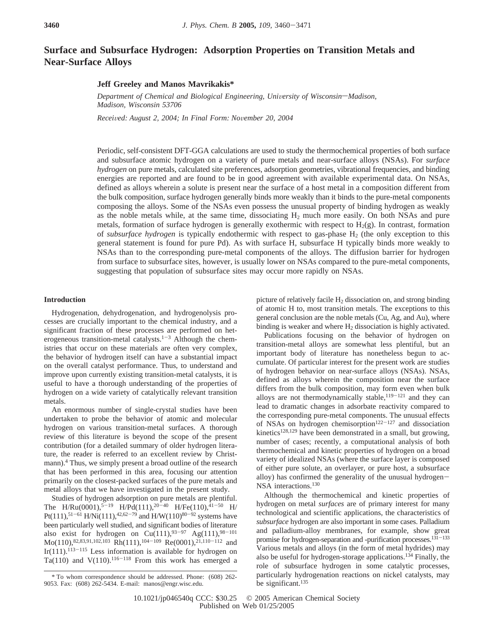# **Surface and Subsurface Hydrogen: Adsorption Properties on Transition Metals and Near-Surface Alloys**

## **Jeff Greeley and Manos Mavrikakis\***

*Department of Chemical and Biological Engineering, University of Wisconsin-Madison, Madison, Wisconsin 53706*

*Recei*V*ed: August 2, 2004; In Final Form: No*V*ember 20, 2004*

Periodic, self-consistent DFT-GGA calculations are used to study the thermochemical properties of both surface and subsurface atomic hydrogen on a variety of pure metals and near-surface alloys (NSAs). For *surface hydrogen* on pure metals, calculated site preferences, adsorption geometries, vibrational frequencies, and binding energies are reported and are found to be in good agreement with available experimental data. On NSAs, defined as alloys wherein a solute is present near the surface of a host metal in a composition different from the bulk composition, surface hydrogen generally binds more weakly than it binds to the pure-metal components composing the alloys. Some of the NSAs even possess the unusual property of binding hydrogen as weakly as the noble metals while, at the same time, dissociating  $H_2$  much more easily. On both NSAs and pure metals, formation of surface hydrogen is generally exothermic with respect to  $H_2(g)$ . In contrast, formation of *subsurface hydrogen* is typically endothermic with respect to gas-phase H2 (the only exception to this general statement is found for pure Pd). As with surface H, subsurface H typically binds more weakly to NSAs than to the corresponding pure-metal components of the alloys. The diffusion barrier for hydrogen from surface to subsurface sites, however, is usually lower on NSAs compared to the pure-metal components, suggesting that population of subsurface sites may occur more rapidly on NSAs.

## **Introduction**

Hydrogenation, dehydrogenation, and hydrogenolysis processes are crucially important to the chemical industry, and a significant fraction of these processes are performed on heterogeneous transition-metal catalysts.<sup>1-3</sup> Although the chemistries that occur on these materials are often very complex, the behavior of hydrogen itself can have a substantial impact on the overall catalyst performance. Thus, to understand and improve upon currently existing transition-metal catalysts, it is useful to have a thorough understanding of the properties of hydrogen on a wide variety of catalytically relevant transition metals.

An enormous number of single-crystal studies have been undertaken to probe the behavior of atomic and molecular hydrogen on various transition-metal surfaces. A thorough review of this literature is beyond the scope of the present contribution (for a detailed summary of older hydrogen literature, the reader is referred to an excellent review by Christmann).<sup>4</sup> Thus, we simply present a broad outline of the research that has been performed in this area, focusing our attention primarily on the closest-packed surfaces of the pure metals and metal alloys that we have investigated in the present study.

Studies of hydrogen adsorption on pure metals are plentiful. The  $H/Ru(0001)$ ,<sup>5-19</sup>  $H/Pd(111)$ ,<sup>20-40</sup>  $H/Fe(110)$ ,<sup>41-50</sup> H/ Pt(111),<sup>51-61</sup> H/Ni(111),<sup>42,62-79</sup> and H/W(110)<sup>80-92</sup> systems have been particularly well studied, and significant bodies of literature also exist for hydrogen on  $Cu(111),^{93-97}$  Ag(111), 98-101  $Mo(110)$ , 82,83,91,102,103 Rh(111), 104-109 Re(0001), 21,110-112 and Ir(111).<sup>113-115</sup> Less information is available for hydrogen on Ta(110) and V(110).<sup>116-118</sup> From this work has emerged a

picture of relatively facile  $H_2$  dissociation on, and strong binding of atomic H to, most transition metals. The exceptions to this general conclusion are the noble metals (Cu, Ag, and Au), where binding is weaker and where  $H_2$  dissociation is highly activated.

Publications focusing on the behavior of hydrogen on transition-metal alloys are somewhat less plentiful, but an important body of literature has nonetheless begun to accumulate. Of particular interest for the present work are studies of hydrogen behavior on near-surface alloys (NSAs). NSAs, defined as alloys wherein the composition near the surface differs from the bulk composition, may form even when bulk alloys are not thermodynamically stable, $119-121$  and they can lead to dramatic changes in adsorbate reactivity compared to the corresponding pure-metal components. The unusual effects of NSAs on hydrogen chemisorption<sup>122-127</sup> and dissociation kinetics<sup>128,129</sup> have been demonstrated in a small, but growing, number of cases; recently, a computational analysis of both thermochemical and kinetic properties of hydrogen on a broad variety of idealized NSAs (where the surface layer is composed of either pure solute, an overlayer, or pure host, a subsurface alloy) has confirmed the generality of the unusual hydrogen-NSA interactions.130

Although the thermochemical and kinetic properties of hydrogen on metal *surfaces* are of primary interest for many technological and scientific applications, the characteristics of *subsurface* hydrogen are also important in some cases. Palladium and palladium-alloy membranes, for example, show great promise for hydrogen-separation and -purification processes.<sup>131-133</sup> Various metals and alloys (in the form of metal hydrides) may also be useful for hydrogen-storage applications.134 Finally, the role of subsurface hydrogen in some catalytic processes, particularly hydrogenation reactions on nickel catalysts, may

<sup>\*</sup> To whom correspondence should be addressed. Phone:  $(608)$  262-particularly hydr<br>53. Fax:  $(608)$  262-5434. E-mail: manos@engr.wisc.edu. be significant.<sup>135</sup> 9053. Fax: (608) 262-5434. E-mail: manos@engr.wisc.edu.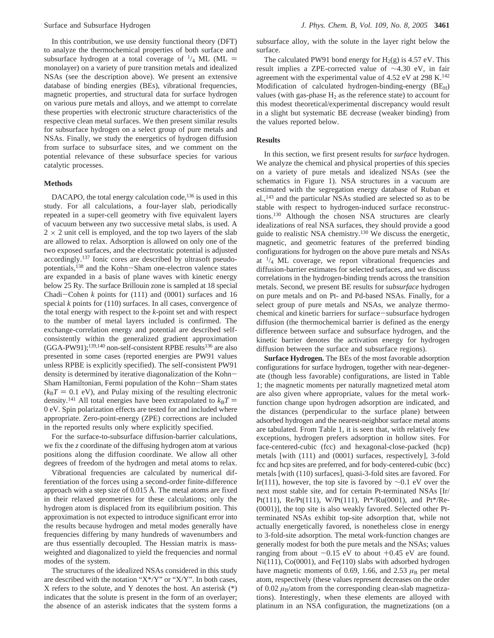In this contribution, we use density functional theory (DFT) to analyze the thermochemical properties of both surface and subsurface hydrogen at a total coverage of  $\frac{1}{4}$  ML (ML = monolayer) on a variety of pure transition metals and idealized NSAs (see the description above). We present an extensive database of binding energies (BEs), vibrational frequencies, magnetic properties, and structural data for surface hydrogen on various pure metals and alloys, and we attempt to correlate these properties with electronic structure characteristics of the respective clean metal surfaces. We then present similar results for subsurface hydrogen on a select group of pure metals and NSAs. Finally, we study the energetics of hydrogen diffusion from surface to subsurface sites, and we comment on the potential relevance of these subsurface species for various catalytic processes.

## **Methods**

DACAPO, the total energy calculation code, $136$  is used in this study. For all calculations, a four-layer slab, periodically repeated in a super-cell geometry with five equivalent layers of vacuum between any two successive metal slabs, is used. A  $2 \times 2$  unit cell is employed, and the top two layers of the slab are allowed to relax. Adsorption is allowed on only one of the two exposed surfaces, and the electrostatic potential is adjusted accordingly.137 Ionic cores are described by ultrasoft pseudopotentials,138 and the Kohn-Sham one-electron valence states are expanded in a basis of plane waves with kinetic energy below 25 Ry. The surface Brillouin zone is sampled at 18 special Chadi-Cohen *<sup>k</sup>* points for (111) and (0001) surfaces and 16 special *k* points for (110) surfaces. In all cases, convergence of the total energy with respect to the *k*-point set and with respect to the number of metal layers included is confirmed. The exchange-correlation energy and potential are described selfconsistently within the generalized gradient approximation (GGA-PW91);139,140 non-self-consistent RPBE results136 are also presented in some cases (reported energies are PW91 values unless RPBE is explicitly specified). The self-consistent PW91 density is determined by iterative diagonalization of the Kohn-Sham Hamiltonian, Fermi population of the Kohn-Sham states  $(k_B T = 0.1$  eV), and Pulay mixing of the resulting electronic density.<sup>141</sup> All total energies have been extrapolated to  $k_B T =$ 0 eV. Spin polarization effects are tested for and included where appropriate. Zero-point-energy (ZPE) corrections are included in the reported results only where explicitly specified.

For the surface-to-subsurface diffusion-barrier calculations, we fix the *z* coordinate of the diffusing hydrogen atom at various positions along the diffusion coordinate. We allow all other degrees of freedom of the hydrogen and metal atoms to relax.

Vibrational frequencies are calculated by numerical differentiation of the forces using a second-order finite-difference approach with a step size of  $0.015$  Å. The metal atoms are fixed in their relaxed geometries for these calculations; only the hydrogen atom is displaced from its equilibrium position. This approximation is not expected to introduce significant error into the results because hydrogen and metal modes generally have frequencies differing by many hundreds of wavenumbers and are thus essentially decoupled. The Hessian matrix is massweighted and diagonalized to yield the frequencies and normal modes of the system.

The structures of the idealized NSAs considered in this study are described with the notation " $X^*/Y$ " or " $X/Y$ ". In both cases, X refers to the solute, and Y denotes the host. An asterisk (\*) indicates that the solute is present in the form of an overlayer; the absence of an asterisk indicates that the system forms a

subsurface alloy, with the solute in the layer right below the surface.

The calculated PW91 bond energy for  $H_2(g)$  is 4.57 eV. This result implies a ZPE-corrected value of ∼4.30 eV, in fair agreement with the experimental value of  $4.52$  eV at  $298$  K.<sup>142</sup> Modification of calculated hydrogen-binding-energy  $(BE_H)$ values (with gas-phase  $H_2$  as the reference state) to account for this modest theoretical/experimental discrepancy would result in a slight but systematic BE decrease (weaker binding) from the values reported below.

## **Results**

In this section, we first present results for *surface* hydrogen. We analyze the chemical and physical properties of this species on a variety of pure metals and idealized NSAs (see the schematics in Figure 1). NSA structures in a vacuum are estimated with the segregation energy database of Ruban et al.,143 and the particular NSAs studied are selected so as to be stable with respect to hydrogen-induced surface reconstructions.130 Although the chosen NSA structures are clearly idealizations of real NSA surfaces, they should provide a good guide to realistic NSA chemistry.130 We discuss the energetic, magnetic, and geometric features of the preferred binding configurations for hydrogen on the above pure metals and NSAs at  $\frac{1}{4}$  ML coverage, we report vibrational frequencies and diffusion-barrier estimates for selected surfaces, and we discuss correlations in the hydrogen-binding trends across the transition metals. Second, we present BE results for *subsurface* hydrogen on pure metals and on Pt- and Pd-based NSAs. Finally, for a select group of pure metals and NSAs, we analyze thermochemical and kinetic barriers for surface-subsurface hydrogen diffusion (the thermochemical barrier is defined as the energy difference between surface and subsurface hydrogen, and the kinetic barrier denotes the activation energy for hydrogen diffusion between the surface and subsurface regions).

**Surface Hydrogen.** The BEs of the most favorable adsorption configurations for surface hydrogen, together with near-degenerate (though less favorable) configurations, are listed in Table 1; the magnetic moments per naturally magnetized metal atom are also given where appropriate, values for the metal workfunction change upon hydrogen adsorption are indicated, and the distances (perpendicular to the surface plane) between adsorbed hydrogen and the nearest-neighbor surface metal atoms are tabulated. From Table 1, it is seen that, with relatively few exceptions, hydrogen prefers adsorption in hollow sites. For face-centered-cubic (fcc) and hexagonal-close-packed (hcp) metals [with (111) and (0001) surfaces, respectively], 3-fold fcc and hcp sites are preferred, and for body-centered-cubic (bcc) metals [with (110) surfaces], quasi-3-fold sites are favored. For Ir(111), however, the top site is favored by  $\sim$ 0.1 eV over the next most stable site, and for certain Pt-terminated NSAs [Ir/ Pt(111), Re/Pt(111), W/Pt(111), Pt\*/Ru(0001), and Pt\*/Re- (0001)], the top site is also weakly favored. Selected other Ptterminated NSAs exhibit top-site adsorption that, while not actually energetically favored, is nonetheless close in energy to 3-fold-site adsorption. The metal work-function changes are generally modest for both the pure metals and the NSAs; values ranging from about  $-0.15$  eV to about  $+0.45$  eV are found. Ni(111), Co(0001), and Fe(110) slabs with adsorbed hydrogen have magnetic moments of 0.69, 1.66, and 2.53  $\mu$ <sub>B</sub> per metal atom, respectively (these values represent decreases on the order of 0.02  $\mu$ <sub>B</sub>/atom from the corresponding clean-slab magnetizations). Interestingly, when these elements are alloyed with platinum in an NSA configuration, the magnetizations (on a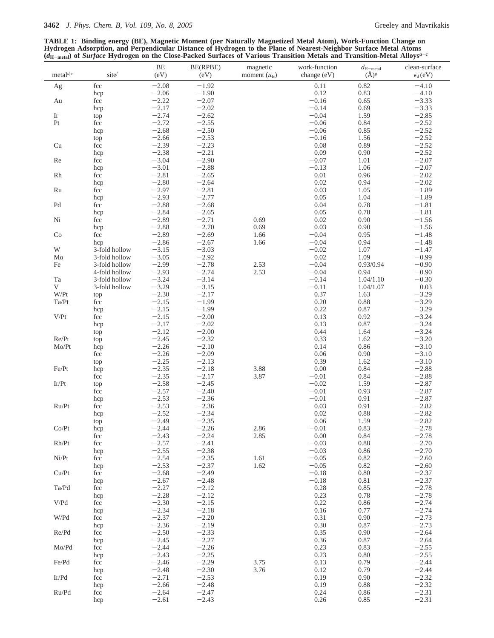**TABLE 1: Binding energy (BE), Magnetic Moment (per Naturally Magnetized Metal Atom), Work-Function Change on Hydrogen Adsorption, and Perpendicular Distance of Hydrogen to the Plane of Nearest-Neighbor Surface Metal Atoms**  $(d_{\text{H-metal}})$  of *Surface* Hydrogen on the Close-Packed Surfaces of Various Transition Metals and Transition-Metal Alloys<sup>*a*-*c*</sup>

|                             |                   | BE      | BE(RPBE) | magnetic         | work-function | $d_{\rm H-metal}$ | clean-surface     |
|-----------------------------|-------------------|---------|----------|------------------|---------------|-------------------|-------------------|
| $metal$ <sup>d,e</sup>      | site <sup>f</sup> | (eV)    | (eV)     | moment $(\mu_B)$ | change (eV)   | $(\AA)^g$         | $\epsilon_d$ (eV) |
|                             |                   |         |          |                  |               |                   |                   |
| Ag                          | fcc               | $-2.08$ | $-1.92$  |                  | 0.11          | 0.82              | $-4.10$           |
|                             | hcp               | $-2.06$ | $-1.90$  |                  | 0.12          | 0.83              | $-4.10$           |
| Au                          | fcc               | $-2.22$ | $-2.07$  |                  | $-0.16$       | 0.65              | $-3.33$           |
|                             | hcp               | $-2.17$ | $-2.02$  |                  | $-0.14$       | 0.69              | $-3.33$           |
| Ir                          | top               | $-2.74$ | $-2.62$  |                  | $-0.04$       | 1.59              | $-2.85$           |
| Pt                          | fcc               | $-2.72$ | $-2.55$  |                  | $-0.06$       | 0.84              | $-2.52$           |
|                             | hcp               | $-2.68$ | $-2.50$  |                  | $-0.06$       | 0.85              | $-2.52$           |
|                             |                   |         |          |                  |               |                   |                   |
|                             | top               | $-2.66$ | $-2.53$  |                  | $-0.16$       | 1.56              | $-2.52$           |
| Cu                          | fcc               | $-2.39$ | $-2.23$  |                  | 0.08          | 0.89              | $-2.52$           |
|                             | hcp               | $-2.38$ | $-2.21$  |                  | 0.09          | 0.90              | $-2.52$           |
| Re                          | fcc               | $-3.04$ | $-2.90$  |                  | $-0.07$       | 1.01              | $-2.07$           |
|                             | hcp               | $-3.01$ | $-2.88$  |                  | $-0.13$       | 1.06              | $-2.07$           |
| Rh                          | fcc               | $-2.81$ | $-2.65$  |                  | 0.01          | 0.96              | $-2.02$           |
|                             | hcp               | $-2.80$ | $-2.64$  |                  | 0.02          | 0.94              | $-2.02$           |
| Ru                          | fcc               | $-2.97$ | $-2.81$  |                  | 0.03          | 1.05              | $-1.89$           |
|                             |                   | $-2.93$ | $-2.77$  |                  | 0.05          | 1.04              | $-1.89$           |
|                             | hcp               |         |          |                  |               |                   |                   |
| Pd                          | fcc               | $-2.88$ | $-2.68$  |                  | 0.04          | 0.78              | $-1.81$           |
|                             | hcp               | $-2.84$ | $-2.65$  |                  | 0.05          | 0.78              | $-1.81$           |
| Ni                          | fcc               | $-2.89$ | $-2.71$  | 0.69             | 0.02          | 0.90              | $-1.56$           |
|                             | hcp               | $-2.88$ | $-2.70$  | 0.69             | 0.03          | 0.90              | $-1.56$           |
| Co                          | fcc               | $-2.89$ | $-2.69$  | 1.66             | $-0.04$       | 0.95              | $-1.48$           |
|                             | hcp               | $-2.86$ | $-2.67$  | 1.66             | $-0.04$       | 0.94              | $-1.48$           |
| W                           | 3-fold hollow     | $-3.15$ | $-3.03$  |                  | $-0.02$       | 1.07              | $-1.47$           |
| Mo                          | 3-fold hollow     | $-3.05$ | $-2.92$  |                  | 0.02          | 1.09              | $-0.99$           |
|                             |                   |         |          |                  |               |                   |                   |
| Fe                          | 3-fold hollow     | $-2.99$ | $-2.78$  | 2.53             | $-0.04$       | 0.93/0.94         | $-0.90$           |
|                             | 4-fold hollow     | $-2.93$ | $-2.74$  | 2.53             | $-0.04$       | 0.94              | $-0.90$           |
| Ta                          | 3-fold hollow     | $-3.24$ | $-3.14$  |                  | $-0.14$       | 1.04/1.10         | $-0.30$           |
| V                           | 3-fold hollow     | $-3.29$ | $-3.15$  |                  | $-0.11$       | 1.04/1.07         | 0.03              |
| W/Pt                        | top               | $-2.30$ | $-2.17$  |                  | 0.37          | 1.63              | $-3.29$           |
| Ta/Pt                       | fcc               | $-2.15$ | $-1.99$  |                  | 0.20          | 0.88              | $-3.29$           |
|                             | hcp               | $-2.15$ | $-1.99$  |                  | 0.22          | 0.87              | $-3.29$           |
| V/Pt                        | fcc               | $-2.15$ | $-2.00$  |                  | 0.13          | 0.92              | $-3.24$           |
|                             |                   | $-2.17$ | $-2.02$  |                  | 0.13          |                   | $-3.24$           |
|                             | hcp               |         |          |                  |               | 0.87              |                   |
|                             | top               | $-2.12$ | $-2.00$  |                  | 0.44          | 1.64              | $-3.24$           |
| Re/Pt                       | top               | $-2.45$ | $-2.32$  |                  | 0.33          | 1.62              | $-3.20$           |
| Mo/Pt                       | hcp               | $-2.26$ | $-2.10$  |                  | 0.14          | 0.86              | $-3.10$           |
|                             | fcc               | $-2.26$ | $-2.09$  |                  | 0.06          | 0.90              | $-3.10$           |
|                             | top               | $-2.25$ | $-2.13$  |                  | 0.39          | 1.62              | $-3.10$           |
| Fe/Pt                       | hcp               | $-2.35$ | $-2.18$  | 3.88             | 0.00          | 0.84              | $-2.88$           |
|                             | fcc               | $-2.35$ | $-2.17$  | 3.87             | $-0.01$       | 0.84              | $-2.88$           |
| Ir/Pt                       | top               | $-2.58$ | $-2.45$  |                  | $-0.02$       | 1.59              | $-2.87$           |
|                             |                   |         |          |                  |               |                   |                   |
|                             | fcc               | $-2.57$ | $-2.40$  |                  | $-0.01$       | 0.93              | $-2.87$           |
|                             | hcp               | $-2.53$ | $-2.36$  |                  | $-0.01$       | 0.91              | $-2.87$           |
| Ru/Pt                       | fcc               | $-2.53$ | $-2.36$  |                  | 0.03          | 0.91              | $-2.82$           |
|                             | hcp               | $-2.52$ | $-2.34$  |                  | 0.02          | 0.88              | $-2.82$           |
|                             | top               | $-2.49$ | $-2.35$  |                  | 0.06          | 1.59              | $-2.82$           |
| $\mathrm{Co} / \mathrm{Pt}$ | hcp               | $-2.44$ | $-2.26$  | 2.86             | $-0.01$       | 0.83              | $-2.78$           |
|                             | fcc               | $-2.43$ | $-2.24$  | 2.85             | $0.00\,$      | 0.84              | $-2.78$           |
| Rh/Pt                       | fcc               | $-2.57$ | $-2.41$  |                  | $-0.03$       | 0.88              | $-2.70$           |
|                             | hcp               | $-2.55$ | $-2.38$  |                  | $-0.03$       | 0.86              | $-2.70$           |
| Ni/Pt                       | fcc               | $-2.54$ | $-2.35$  | 1.61             | $-0.05$       | 0.82              | $-2.60$           |
|                             |                   |         |          |                  |               |                   |                   |
|                             | hcp               | $-2.53$ | $-2.37$  | 1.62             | $-0.05$       | 0.82              | $-2.60$           |
| $Cu/Pt$                     | fcc               | $-2.68$ | $-2.49$  |                  | $-0.18$       | $0.80\,$          | $-2.37$           |
|                             | hcp               | $-2.67$ | $-2.48$  |                  | $-0.18$       | 0.81              | $-2.37$           |
| $Ta/Pd$                     | fcc               | $-2.27$ | $-2.12$  |                  | 0.28          | 0.85              | $-2.78$           |
|                             | hcp               | $-2.28$ | $-2.12$  |                  | 0.23          | 0.78              | $-2.78$           |
| V/Pd                        | fcc               | $-2.30$ | $-2.15$  |                  | 0.22          | 0.86              | $-2.74$           |
|                             | hcp               | $-2.34$ | $-2.18$  |                  | 0.16          | 0.77              | $-2.74$           |
| W/Pd                        | fcc               | $-2.37$ | $-2.20$  |                  | 0.31          | 0.90              | $-2.73$           |
|                             |                   | $-2.36$ | $-2.19$  |                  | 0.30          | 0.87              | $-2.73$           |
|                             | hcp               |         |          |                  |               |                   |                   |
| Re/Pd                       | fcc               | $-2.50$ | $-2.33$  |                  | 0.35          | 0.90              | $-2.64$           |
|                             | hcp               | $-2.45$ | $-2.27$  |                  | 0.36          | 0.87              | $-2.64$           |
| Mo/Pd                       | fcc               | $-2.44$ | $-2.26$  |                  | 0.23          | 0.83              | $-2.55$           |
|                             | hcp               | $-2.43$ | $-2.25$  |                  | 0.23          | 0.80              | $-2.55$           |
| $\mbox{Fe}/\mbox{Pd}$       | fcc               | $-2.46$ | $-2.29$  | 3.75             | 0.13          | 0.79              | $-2.44$           |
|                             | hcp               | $-2.48$ | $-2.30$  | 3.76             | 0.12          | 0.79              | $-2.44$           |
| $Ir/Pd$                     | fcc               | $-2.71$ | $-2.53$  |                  | 0.19          | 0.90              | $-2.32$           |
|                             |                   | $-2.66$ | $-2.48$  |                  | 0.19          | 0.88              | $-2.32$           |
|                             | hcp               |         |          |                  |               |                   |                   |
| Ru/Pd                       | fcc               | $-2.64$ | $-2.47$  |                  | 0.24          | 0.86              | $-2.31$           |
|                             | hcp               | $-2.61$ | $-2.43$  |                  | 0.26          | 0.85              | $-2.31$           |
|                             |                   |         |          |                  |               |                   |                   |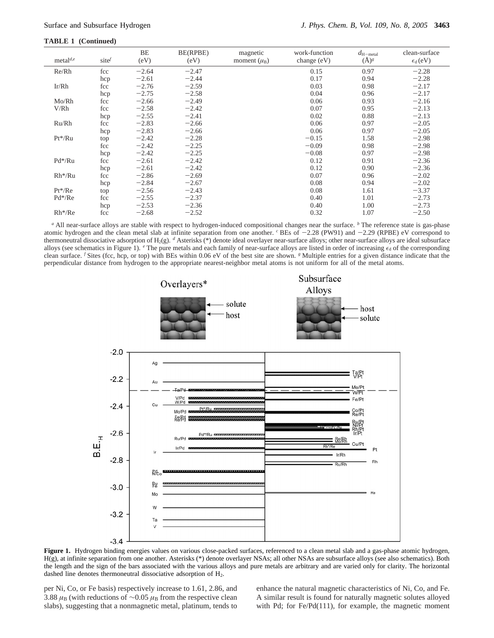# **TABLE 1 (Continued)**

| metal $d,e$ | site | BE<br>(eV) | BE(RPBE)<br>(eV) | magnetic<br>moment $(\mu_B)$ | work-function<br>change $(eV)$ | $d_{\mathrm{H-metal}}$<br>$(\check{A})^g$ | clean-surface<br>$\epsilon_d$ (eV) |
|-------------|------|------------|------------------|------------------------------|--------------------------------|-------------------------------------------|------------------------------------|
| Re/Rh       | fcc  | $-2.64$    | $-2.47$          |                              | 0.15                           | 0.97                                      | $-2.28$                            |
|             | hcp  | $-2.61$    | $-2.44$          |                              | 0.17                           | 0.94                                      | $-2.28$                            |
| Ir/Rh       | fcc  | $-2.76$    | $-2.59$          |                              | 0.03                           | 0.98                                      | $-2.17$                            |
|             | hcp  | $-2.75$    | $-2.58$          |                              | 0.04                           | 0.96                                      | $-2.17$                            |
| Mo/Rh       | fcc  | $-2.66$    | $-2.49$          |                              | 0.06                           | 0.93                                      | $-2.16$                            |
| V/Rh        | fcc  | $-2.58$    | $-2.42$          |                              | 0.07                           | 0.95                                      | $-2.13$                            |
|             | hcp  | $-2.55$    | $-2.41$          |                              | 0.02                           | 0.88                                      | $-2.13$                            |
| Ru/Rh       | fcc  | $-2.83$    | $-2.66$          |                              | 0.06                           | 0.97                                      | $-2.05$                            |
|             | hcp  | $-2.83$    | $-2.66$          |                              | 0.06                           | 0.97                                      | $-2.05$                            |
| $Pt^*/Ru$   | top  | $-2.42$    | $-2.28$          |                              | $-0.15$                        | 1.58                                      | $-2.98$                            |
|             | fcc  | $-2.42$    | $-2.25$          |                              | $-0.09$                        | 0.98                                      | $-2.98$                            |
|             | hcp  | $-2.42$    | $-2.25$          |                              | $-0.08$                        | 0.97                                      | $-2.98$                            |
| $Pd^*/Ru$   | fcc  | $-2.61$    | $-2.42$          |                              | 0.12                           | 0.91                                      | $-2.36$                            |
|             | hcp  | $-2.61$    | $-2.42$          |                              | 0.12                           | 0.90                                      | $-2.36$                            |
| $Rh^*/Ru$   | fcc  | $-2.86$    | $-2.69$          |                              | 0.07                           | 0.96                                      | $-2.02$                            |
|             | hcp  | $-2.84$    | $-2.67$          |                              | 0.08                           | 0.94                                      | $-2.02$                            |
| $Pt^*/Re$   | top  | $-2.56$    | $-2.43$          |                              | 0.08                           | 1.61                                      | $-3.37$                            |
| $Pd^*/Re$   | fcc  | $-2.55$    | $-2.37$          |                              | 0.40                           | 1.01                                      | $-2.73$                            |
|             | hcp  | $-2.53$    | $-2.36$          |                              | 0.40                           | 1.00                                      | $-2.73$                            |
| $Rh^*/Re$   | fcc  | $-2.68$    | $-2.52$          |                              | 0.32                           | 1.07                                      | $-2.50$                            |

*<sup>a</sup>* All near-surface alloys are stable with respect to hydrogen-induced compositional changes near the surface. *<sup>b</sup>* The reference state is gas-phase atomic hydrogen and the clean metal slab at infinite separation from one another. <sup>c</sup> BEs of -2.28 (PW91) and -2.29 (RPBE) eV correspond to thermoneutral dissociative adsorption of H2(g). *<sup>d</sup>* Asterisks (\*) denote ideal overlayer near-surface alloys; other near-surface alloys are ideal subsurface alloys (see schematics in Figure 1).  $\epsilon$  The pure metals and each family of near-surface alloys are listed in order of increasing  $\epsilon_d$  of the corresponding clean surface. *<sup>f</sup>* Sites (fcc, hcp, or top) with BEs within 0.06 eV of the best site are shown. *<sup>g</sup>* Multiple entries for a given distance indicate that the perpendicular distance from hydrogen to the appropriate nearest-neighbor metal atoms is not uniform for all of the metal atoms.



Figure 1. Hydrogen binding energies values on various close-packed surfaces, referenced to a clean metal slab and a gas-phase atomic hydrogen, H(g), at infinite separation from one another. Asterisks (\*) denote overlayer NSAs; all other NSAs are subsurface alloys (see also schematics). Both the length and the sign of the bars associated with the various alloys and pure metals are arbitrary and are varied only for clarity. The horizontal dashed line denotes thermoneutral dissociative adsorption of H<sub>2</sub>.

per Ni, Co, or Fe basis) respectively increase to 1.61, 2.86, and 3.88  $\mu_B$  (with reductions of ~0.05  $\mu_B$  from the respective clean slabs), suggesting that a nonmagnetic metal, platinum, tends to

enhance the natural magnetic characteristics of Ni, Co, and Fe. A similar result is found for naturally magnetic solutes alloyed with Pd; for Fe/Pd(111), for example, the magnetic moment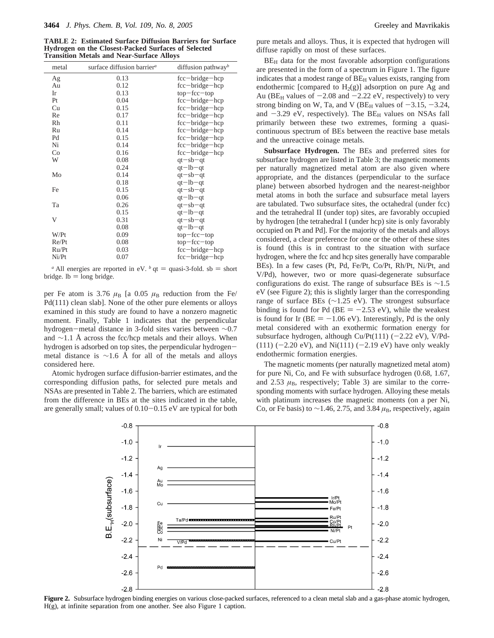**TABLE 2: Estimated Surface Diffusion Barriers for Surface Hydrogen on the Closest-Packed Surfaces of Selected Transition Metals and Near-Surface Alloys**

| metal | surface diffusion barrier <sup>a</sup> | diffusion pathway <sup>b</sup> |
|-------|----------------------------------------|--------------------------------|
| Ag    | 0.13                                   | $fcc - bridge - hep$           |
| Au    | 0.12                                   | $fcc - bridge - hep$           |
| Ir    | 0.13                                   | $top - fcc - top$              |
| Pt    | 0.04                                   | $fcc - bridge - hep$           |
| Cu    | 0.15                                   | $fcc - bridge - hep$           |
| Re    | 0.17                                   | $fcc - bridge - hep$           |
| Rh    | 0.11                                   | $fcc - bridge - hep$           |
| Ru    | 0.14                                   | $fcc - bridge - hep$           |
| Pd    | 0.15                                   | $fcc - bridge - hep$           |
| Ni    | 0.14                                   | $fcc - bridge - hep$           |
| Co    | 0.16                                   | fcc-bridge-hcp                 |
| W     | 0.08                                   | $qt-sb-qt$                     |
|       | 0.24                                   | $qt-lb-qt$                     |
| Mo    | 0.14                                   | $qt-sb-qt$                     |
|       | 0.18                                   | $qt-lb-qt$                     |
| Fe    | 0.15                                   | $qt-sb-qt$                     |
|       | 0.06                                   | $qt-lb-qt$                     |
| Ta    | 0.26                                   | $qt-sb-qt$                     |
|       | 0.15                                   | $qt-lb-qt$                     |
| V     | 0.31                                   | $qt-sb-qt$                     |
|       | 0.08                                   | $qt-lb-qt$                     |
| W/Pt  | 0.09                                   | $top - fcc - top$              |
| Re/Pt | 0.08                                   | top-fcc-top                    |
| Ru/Pt | 0.03                                   | $fcc - bridge - hep$           |
| Ni/Pt | 0.07                                   | fcc-bridge-hcp                 |
|       |                                        |                                |

<sup>*a*</sup> All energies are reported in eV. <sup>*b*</sup> qt = quasi-3-fold. sb = short bridge.  $lb =$ long bridge.

per Fe atom is 3.76  $\mu$ B [a 0.05  $\mu$ B reduction from the Fe/ Pd(111) clean slab]. None of the other pure elements or alloys examined in this study are found to have a nonzero magnetic moment. Finally, Table 1 indicates that the perpendicular hydrogen-metal distance in 3-fold sites varies between <sup>∼</sup>0.7 and ∼1.1 Å across the fcc/hcp metals and their alloys. When hydrogen is adsorbed on top sites, the perpendicular hydrogenmetal distance is  $\sim$ 1.6 Å for all of the metals and alloys considered here.

Atomic hydrogen surface diffusion-barrier estimates, and the corresponding diffusion paths, for selected pure metals and NSAs are presented in Table 2. The barriers, which are estimated from the difference in BEs at the sites indicated in the table, are generally small; values of 0.10-0.15 eV are typical for both

pure metals and alloys. Thus, it is expected that hydrogen will diffuse rapidly on most of these surfaces.

BE<sub>H</sub> data for the most favorable adsorption configurations are presented in the form of a spectrum in Figure 1. The figure indicates that a modest range of  $BE_H$  values exists, ranging from endothermic [compared to  $H_2(g)$ ] adsorption on pure Ag and Au (BE<sub>H</sub> values of  $-2.08$  and  $-2.22$  eV, respectively) to very strong binding on W, Ta, and V (BE<sub>H</sub> values of  $-3.15, -3.24$ , and  $-3.29$  eV, respectively). The BE<sub>H</sub> values on NSAs fall primarily between these two extremes, forming a quasicontinuous spectrum of BEs between the reactive base metals and the unreactive coinage metals.

**Subsurface Hydrogen.** The BEs and preferred sites for subsurface hydrogen are listed in Table 3; the magnetic moments per naturally magnetized metal atom are also given where appropriate, and the distances (perpendicular to the surface plane) between absorbed hydrogen and the nearest-neighbor metal atoms in both the surface and subsurface metal layers are tabulated. Two subsurface sites, the octahedral (under fcc) and the tetrahedral II (under top) sites, are favorably occupied by hydrogen [the tetrahedral I (under hcp) site is only favorably occupied on Pt and Pd]. For the majority of the metals and alloys considered, a clear preference for one or the other of these sites is found (this is in contrast to the situation with surface hydrogen, where the fcc and hcp sites generally have comparable BEs). In a few cases (Pt, Pd, Fe/Pt, Co/Pt, Rh/Pt, Ni/Pt, and V/Pd), however, two or more quasi-degenerate subsurface configurations do exist. The range of subsurface BEs is ∼1.5 eV (see Figure 2); this is slightly larger than the corresponding range of surface BEs (∼1.25 eV). The strongest subsurface binding is found for Pd ( $BE = -2.53$  eV), while the weakest is found for Ir ( $BE = -1.06$  eV). Interestingly, Pd is the only metal considered with an exothermic formation energy for subsurface hydrogen, although Cu/Pt(111)  $(-2.22 \text{ eV})$ , V/Pd-(111) ( $-2.20$  eV), and Ni(111) ( $-2.19$  eV) have only weakly endothermic formation energies.

The magnetic moments (per naturally magnetized metal atom) for pure Ni, Co, and Fe with subsurface hydrogen (0.68, 1.67, and 2.53  $\mu_{\rm B}$ , respectively; Table 3) are similar to the corresponding moments with surface hydrogen. Alloying these metals with platinum increases the magnetic moments (on a per Ni, Co, or Fe basis) to ~1.46, 2.75, and 3.84  $\mu_B$ , respectively, again



**Figure 2.** Subsurface hydrogen binding energies on various close-packed surfaces, referenced to a clean metal slab and a gas-phase atomic hydrogen, H(g), at infinite separation from one another. See also Figure 1 caption.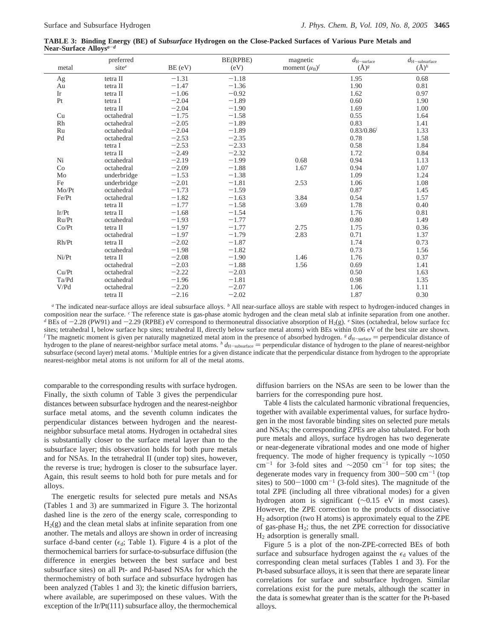| TABLE 3: Binding Energy (BE) of Subsurface Hydrogen on the Close-Packed Surfaces of Various Pure Metals and |  |  |  |  |  |
|-------------------------------------------------------------------------------------------------------------|--|--|--|--|--|
| Near-Surface Alloys <sup><math>a-d</math></sup>                                                             |  |  |  |  |  |

|       | preferred         |           | BE(RPBE) | magnetic           | $d_{\mathrm{H-surface}}$ | $d_{\rm H-supsurface}$ |
|-------|-------------------|-----------|----------|--------------------|--------------------------|------------------------|
| metal | site <sup>e</sup> | $BE$ (eV) | (eV)     | moment $(\mu_B)^f$ | $(\AA)^g$                | $(\check{A})^h$        |
| Ag    | tetra II          | $-1.31$   | $-1.18$  |                    | 1.95                     | 0.68                   |
| Au    | tetra II          | $-1.47$   | $-1.36$  |                    | 1.90                     | 0.81                   |
| Ir    | tetra II          | $-1.06$   | $-0.92$  |                    | 1.62                     | 0.97                   |
| Pt    | tetra I           | $-2.04$   | $-1.89$  |                    | 0.60                     | 1.90                   |
|       | tetra II          | $-2.04$   | $-1.90$  |                    | 1.69                     | 1.00                   |
| Cu    | octahedral        | $-1.75$   | $-1.58$  |                    | 0.55                     | 1.64                   |
| Rh    | octahedral        | $-2.05$   | $-1.89$  |                    | 0.83                     | 1.41                   |
| Ru    | octahedral        | $-2.04$   | $-1.89$  |                    | $0.83/0.86^{i}$          | 1.33                   |
| Pd    | octahedral        | $-2.53$   | $-2.35$  |                    | 0.78                     | 1.58                   |
|       | tetra I           | $-2.53$   | $-2.33$  |                    | 0.58                     | 1.84                   |
|       | tetra II          | $-2.49$   | $-2.32$  |                    | 1.72                     | 0.84                   |
| Ni    | octahedral        | $-2.19$   | $-1.99$  | 0.68               | 0.94                     | 1.13                   |
| Co    | octahedral        | $-2.09$   | $-1.88$  | 1.67               | 0.94                     | 1.07                   |
| Mo    | underbridge       | $-1.53$   | $-1.38$  |                    | 1.09                     | 1.24                   |
| Fe    | underbridge       | $-2.01$   | $-1.81$  | 2.53               | 1.06                     | 1.08                   |
| Mo/Pt | octahedral        | $-1.73$   | $-1.59$  |                    | 0.87                     | 1.45                   |
| Fe/Pt | octahedral        | $-1.82$   | $-1.63$  | 3.84               | 0.54                     | 1.57                   |
|       | tetra II          | $-1.77$   | $-1.58$  | 3.69               | 1.78                     | 0.40                   |
| Ir/Pt | tetra II          | $-1.68$   | $-1.54$  |                    | 1.76                     | 0.81                   |
| Ru/Pt | octahedral        | $-1.93$   | $-1.77$  |                    | 0.80                     | 1.49                   |
| Co/Pt | tetra II          | $-1.97$   | $-1.77$  | 2.75               | 1.75                     | 0.36                   |
|       | octahedral        | $-1.97$   | $-1.79$  | 2.83               | 0.71                     | 1.37                   |
| Rh/Pt | tetra II          | $-2.02$   | $-1.87$  |                    | 1.74                     | 0.73                   |
|       | octahedral        | $-1.98$   | $-1.82$  |                    | 0.73                     | 1.56                   |
| Ni/Pt | tetra II          | $-2.08$   | $-1.90$  | 1.46               | 1.76                     | 0.37                   |
|       | octahedral        | $-2.03$   | $-1.88$  | 1.56               | 0.69                     | 1.41                   |
| Cu/Pt | octahedral        | $-2.22$   | $-2.03$  |                    | 0.50                     | 1.63                   |
| Ta/Pd | octahedral        | $-1.96$   | $-1.81$  |                    | 0.98                     | 1.35                   |
| V/Pd  | octahedral        | $-2.20$   | $-2.07$  |                    | 1.06                     | 1.11                   |
|       | tetra II          | $-2.16$   | $-2.02$  |                    | 1.87                     | 0.30                   |
|       |                   |           |          |                    |                          |                        |

*<sup>a</sup>* The indicated near-surface alloys are ideal subsurface alloys. *<sup>b</sup>* All near-surface alloys are stable with respect to hydrogen-induced changes in composition near the surface. *<sup>c</sup>* The reference state is gas-phase atomic hydrogen and the clean metal slab at infinite separation from one another. *d* BEs of -2.28 (PW91) and -2.29 (RPBE) eV correspond to thermoneutral dissociative absorption of H<sub>2</sub>(g). *e* Sites (octahedral, below surface fcc sites; tetrahedral I, below surface hcp sites; tetrahedral II, directly below surface metal atoms) with BEs within 0.06 eV of the best site are shown. *f* The magnetic moment is given per naturally magnetized metal atom in the presence of absorbed hydrogen.  $g/d_H$ -surface  $=$  perpendicular distance of hydrogen to the plane of nearest-neighbor surface metal atoms. *h*  $d_{\text{H-subsurface}}$  = perpendicular distance of hydrogen to the plane of nearest-neighbor subsurface (second layer) metal atoms. *<sup>i</sup>* Multiple entries for a given distance indicate that the perpendicular distance from hydrogen to the appropriate nearest-neighbor metal atoms is not uniform for all of the metal atoms.

comparable to the corresponding results with surface hydrogen. Finally, the sixth column of Table 3 gives the perpendicular distances between subsurface hydrogen and the nearest-neighbor surface metal atoms, and the seventh column indicates the perpendicular distances between hydrogen and the nearestneighbor subsurface metal atoms. Hydrogen in octahedral sites is substantially closer to the surface metal layer than to the subsurface layer; this observation holds for both pure metals and for NSAs. In the tetrahedral II (under top) sites, however, the reverse is true; hydrogen is closer to the subsurface layer. Again, this result seems to hold both for pure metals and for alloys.

The energetic results for selected pure metals and NSAs (Tables 1 and 3) are summarized in Figure 3. The horizontal dashed line is the zero of the energy scale, corresponding to  $H<sub>2</sub>(g)$  and the clean metal slabs at infinite separation from one another. The metals and alloys are shown in order of increasing surface d-band center ( $\epsilon_d$ ; Table 1). Figure 4 is a plot of the thermochemical barriers for surface-to-subsurface diffusion (the difference in energies between the best surface and best subsurface sites) on all Pt- and Pd-based NSAs for which the thermochemistry of both surface and subsurface hydrogen has been analyzed (Tables 1 and 3); the kinetic diffusion barriers, where available, are superimposed on these values. With the exception of the Ir/Pt(111) subsurface alloy, the thermochemical

diffusion barriers on the NSAs are seen to be lower than the barriers for the corresponding pure host.

Table 4 lists the calculated harmonic vibrational frequencies, together with available experimental values, for surface hydrogen in the most favorable binding sites on selected pure metals and NSAs; the corresponding ZPEs are also tabulated. For both pure metals and alloys, surface hydrogen has two degenerate or near-degenerate vibrational modes and one mode of higher frequency. The mode of higher frequency is typically ∼1050 cm<sup>-1</sup> for 3-fold sites and  $\sim$ 2050 cm<sup>-1</sup> for top sites; the degenerate modes vary in frequency from  $300-500$  cm<sup>-1</sup> (top sites) to  $500-1000$  cm<sup>-1</sup> (3-fold sites). The magnitude of the total ZPE (including all three vibrational modes) for a given hydrogen atom is significant (∼0.15 eV in most cases). However, the ZPE correction to the products of dissociative  $H<sub>2</sub>$  adsorption (two H atoms) is approximately equal to the ZPE of gas-phase H2; thus, the net ZPE correction for dissociative H2 adsorption is generally small.

Figure 5 is a plot of the non-ZPE-corrected BEs of both surface and subsurface hydrogen against the  $\epsilon_d$  values of the corresponding clean metal surfaces (Tables 1 and 3). For the Pt-based subsurface alloys, it is seen that there are separate linear correlations for surface and subsurface hydrogen. Similar correlations exist for the pure metals, although the scatter in the data is somewhat greater than is the scatter for the Pt-based alloys.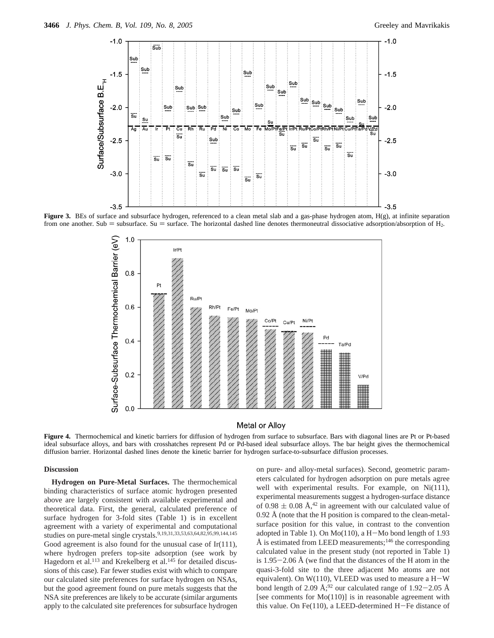

Figure 3. BEs of surface and subsurface hydrogen, referenced to a clean metal slab and a gas-phase hydrogen atom, H(g), at infinite separation from one another. Sub = subsurface. Su = surface. The horizontal dashed line denotes thermoneutral dissociative adsorption/absorption of H<sub>2</sub>.



## **Metal or Alloy**

**Figure 4.** Thermochemical and kinetic barriers for diffusion of hydrogen from surface to subsurface. Bars with diagonal lines are Pt or Pt-based ideal subsurface alloys, and bars with crosshatches represent Pd or Pd-based ideal subsurface alloys. The bar height gives the thermochemical diffusion barrier. Horizontal dashed lines denote the kinetic barrier for hydrogen surface-to-subsurface diffusion processes.

## **Discussion**

**Hydrogen on Pure-Metal Surfaces.** The thermochemical binding characteristics of surface atomic hydrogen presented above are largely consistent with available experimental and theoretical data. First, the general, calculated preference of surface hydrogen for 3-fold sites (Table 1) is in excellent agreement with a variety of experimental and computational studies on pure-metal single crystals.<sup>9,19,31,33,53,63,64,82,95,99,144,145</sup> Good agreement is also found for the unusual case of  $Ir(111)$ , where hydrogen prefers top-site adsorption (see work by Hagedorn et al.<sup>113</sup> and Krekelberg et al.<sup>145</sup> for detailed discussions of this case). Far fewer studies exist with which to compare our calculated site preferences for surface hydrogen on NSAs, but the good agreement found on pure metals suggests that the NSA site preferences are likely to be accurate (similar arguments apply to the calculated site preferences for subsurface hydrogen on pure- and alloy-metal surfaces). Second, geometric parameters calculated for hydrogen adsorption on pure metals agree well with experimental results. For example, on Ni(111), experimental measurements suggest a hydrogen-surface distance of 0.98  $\pm$  0.08 Å,<sup>42</sup> in agreement with our calculated value of 0.92 Å (note that the H position is compared to the clean-metalsurface position for this value, in contrast to the convention adopted in Table 1). On Mo(110), a H-Mo bond length of 1.93 Å is estimated from LEED measurements;<sup>146</sup> the corresponding calculated value in the present study (not reported in Table 1) is 1.95-2.06 Å (we find that the distances of the H atom in the quasi-3-fold site to the three adjacent Mo atoms are not equivalent). On  $W(110)$ , VLEED was used to measure a H-W bond length of 2.09 Å;<sup>92</sup> our calculated range of 1.92-2.05 Å [see comments for  $Mo(110)$ ] is in reasonable agreement with this value. On Fe(110), a LEED-determined H-Fe distance of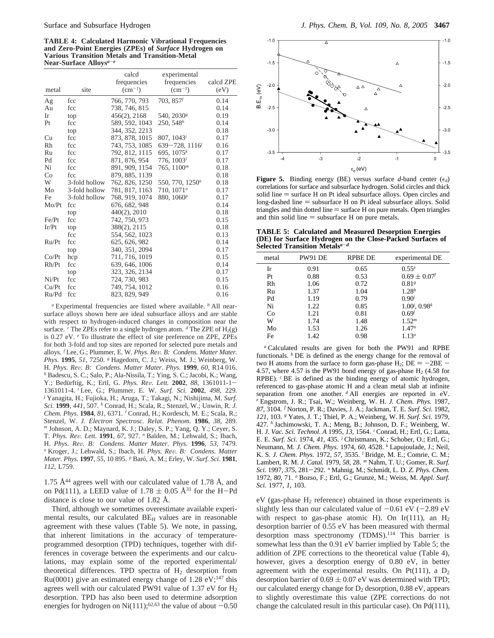**TABLE 4: Calculated Harmonic Vibrational Frequencies and Zero-Point Energies (ZPEs) of** *Surface* **Hydrogen on Various Transition Metals and Transition-Metal Near-Surface Alloys***<sup>a</sup>*-*<sup>e</sup>*

| site          | calcd<br>frequencies<br>$\rm (cm^{-1})$ | experimental<br>frequencies<br>$\rm (cm^{-1})$ | calcd ZPE<br>(eV) |
|---------------|-----------------------------------------|------------------------------------------------|-------------------|
| fcc           | 766, 770, 793                           | 703.857 <sup>f</sup>                           | 0.14              |
| fcc           | 738, 746, 815                           |                                                | 0.14              |
| top           | 456(2), 2168                            | 540, 2030 <sup>s</sup>                         | 0.19              |
| fcc           | 589, 592, 1043                          | 250, 548 <sup>h</sup>                          | 0.14              |
| top           | 344, 352, 2213                          |                                                | 0.18              |
| fcc           | 873, 878, 1015                          | 807, $1043^i$                                  | 0.17              |
| fcc           | 743, 753, 1085                          | $639 - 728$ , 1116 <sup>j</sup>                | 0.16              |
| fcc           | 792, 812, 1115                          | 695, $1075^k$                                  | 0.17              |
| fcc           | 871, 876, 954                           | 776, $1003l$                                   | 0.17              |
| fcc           | 891, 909, 1154                          | 765, $1100^m$                                  | 0.18              |
| fcc           | 879, 885, 1139                          |                                                | 0.18              |
| 3-fold hollow | 762, 826, 1250                          | 550, 770, 1250 <sup>n</sup>                    | 0.18              |
| 3-fold hollow | 781, 817, 1163                          | 710, $1071°$                                   | 0.17              |
| 3-fold hollow | 768, 919, 1074                          | 880, 1060 <sup>p</sup>                         | 0.17              |
| fcc           | 676, 682, 948                           |                                                | 0.14              |
| top           | $440(2)$ , 2010                         |                                                | 0.18              |
| fcc           | 742, 750, 973                           |                                                | 0.15              |
| top           | 388(2), 2115                            |                                                | 0.18              |
| fcc           | 554, 562, 1023                          |                                                | 0.13              |
| fcc           | 625, 626, 982                           |                                                | 0.14              |
| top           | 340, 351, 2094                          |                                                | 0.17              |
| hcp           | 711, 716, 1019                          |                                                | 0.15              |
| fcc           | 639, 646, 1006                          |                                                | 0.14              |
| top           | 323, 326, 2134                          |                                                | 0.17              |
| fcc           | 724, 730, 983                           |                                                | 0.15              |
| fcc           | 749, 754, 1012                          |                                                | 0.16              |
| fcc           | 823, 829, 949                           |                                                | 0.16              |
|               |                                         |                                                |                   |

*<sup>a</sup>* Experimental frequencies are listed where available. *<sup>b</sup>* All nearsurface alloys shown here are ideal subsurface alloys and are stable with respect to hydrogen-induced changes in composition near the surface. <sup>*c*</sup> The ZPEs refer to a single hydrogen atom. <sup>*d*</sup> The ZPE of H<sub>2</sub>(g) is 0.27 eV. *<sup>e</sup>* To illustrate the effect of site preference on ZPE, ZPEs for both 3-fold and top sites are reported for selected pure metals and alloys. *<sup>f</sup>* Lee, G.; Plummer, E. W. *Phys. Re*V*. B: Condens. Matter Mater. Phys.* **1995**, *51*, 7250. *<sup>g</sup>* Hagedorn, C. J.; Weiss, M. J.; Weinberg, W. H. *Phys. Re*V*. B: Condens. Matter Mater. Phys.* **<sup>1999</sup>**, *<sup>60</sup>*, R14 016. *<sup>h</sup>* Badescu, S. C.; Salo, P.; Ala-Nissila, T.; Ying, S. C.; Jacobi, K.; Wang, Y.; Bedürftig, K.; Ertl, G. *Phys. Rev. Lett.* **2002**, 88, 1361011-1-1361011-4. *<sup>i</sup>* Lee, G.; Plummer, E. W. *Surf. Sci.* **2002**, *498*, 229. *<sup>j</sup>* Yanagita, H.; Fujioka, H.; Aruga, T.; Takagi, N.; Nishijima, M. *Surf. Sci.* **1999**, *441*, 507. *<sup>k</sup>* Conrad, H.; Scala, R.; Stenzel, W.; Unwin, R. *J. Chem. Phys.* **1984**, *81*, 6371. *<sup>l</sup>* Conrad, H.; Kordesch, M. E.; Scala, R.; Stenzel, W. *J. Electron Spectrosc. Relat. Phenom.* **1986**, *38*, 289. *<sup>m</sup>* Johnson, A. D.; Maynard, K. J.; Daley, S. P.; Yang, Q. Y.; Ceyer, S. T. *Phys. Re*V*. Lett.* **<sup>1991</sup>**, *<sup>67</sup>*, 927. *<sup>n</sup>* Balden, M.; Lehwald, S.; Ibach, H. *Phys. Re*V*. B: Condens. Matter Mater. Phys.* **<sup>1996</sup>**, *<sup>53</sup>*, 7479. *<sup>o</sup>* Kroger, J.; Lehwald, S.; Ibach, H. *Phys. Re*V*. B: Condens. Matter Mater. Phys.* **1997**, *55*, 10 895. *<sup>p</sup>* Baro´, A. M.; Erley, W. *Surf. Sci.* **1981**, *112*, L759.

1.75  $\AA^{44}$  agrees well with our calculated value of 1.78  $\AA$ , and on Pd(111), a LEED value of 1.78  $\pm$  0.05 Å<sup>31</sup> for the H-Pd distance is close to our value of 1.82 Å.

Third, although we sometimes overestimate available experimental results, our calculated BE<sub>H</sub> values are in reasonable agreement with these values (Table 5). We note, in passing, that inherent limitations in the accuracy of temperatureprogrammed desorption (TPD) techniques, together with differences in coverage between the experiments and our calculations, may explain some of the reported experimental/ theoretical differences. TPD spectra of  $H<sub>2</sub>$  desorption from Ru(0001) give an estimated energy change of 1.28  $eV$ ;<sup>147</sup> this agrees well with our calculated PW91 value of 1.37 eV for H2 desorption. TPD has also been used to determine adsorption energies for hydrogen on Ni(111);<sup>62,63</sup> the value of about  $-0.50$ 



**Figure 5.** Binding energy (BE) versus surface  $d$ -band center  $(\epsilon_d)$ correlations for surface and subsurface hydrogen. Solid circles and thick solid line  $=$  surface H on Pt ideal subsurface alloys. Open circles and  $long-dashed line = subsurface H on Pt ideal subsurface alloys. Solid$ triangles and thin dotted line  $=$  surface H on pure metals. Open triangles and thin solid line  $=$  subsurface H on pure metals.

**TABLE 5: Calculated and Measured Desorption Energies (DE) for Surface Hydrogen on the Close-Packed Surfaces of Selected Transition Metals***<sup>a</sup>*-*<sup>d</sup>*

| metal | PW91 DE | RPBE DE | experimental DE                |
|-------|---------|---------|--------------------------------|
| Ir    | 0.91    | 0.65    | $0.55^{e}$                     |
| Pt    | 0.88    | 0.53    | $0.69 \pm 0.07$                |
| Rh    | 1.06    | 0.72    | 0.81 <sup>g</sup>              |
| Ru    | 1.37    | 1.04    | $1.28^{h}$                     |
| Pd    | 1.19    | 0.79    | $0.90^{i}$                     |
| Ni    | 1.22    | 0.85    | $1.00^{j}$ , 0.98 <sup>k</sup> |
| Co    | 1.21    | 0.81    | 0.69 <sup>l</sup>              |
| W     | 1.74    | 1.48    | 1.52 <sup>m</sup>              |
| Mo    | 1.53    | 1.26    | 1.47 <sup>n</sup>              |
| Fe    | 1.42    | 0.98    | $1.13^{o}$                     |

*<sup>a</sup>* Calculated results are given for both the PW91 and RPBE functionals. *<sup>b</sup>* DE is defined as the energy change for the removal of two H atoms from the surface to form gas-phase  $H_2$ ;  $DE = -2BE$  – 4.57, where 4.57 is the PW91 bond energy of gas-phase  $H_2$  (4.58 for RPBE). *<sup>c</sup>* BE is defined as the binding energy of atomic hydrogen, referenced to gas-phase atomic H and a clean metal slab at infinite separation from one another. *<sup>d</sup>* All energies are reported in eV. *<sup>e</sup>* Engstrom, J. R.; Tsai, W.; Weinberg, W. H. *J. Chem. Phys.* 1987, *87*, 3104. *<sup>f</sup>* Norton, P. R.; Davies, J. A.; Jackman, T. E. *Surf. Sci.* 1982, *121*, 103. *<sup>g</sup>* Yates, J. T.; Thiel, P. A.; Weinberg, W. H. *Surf. Sci.* 1979, 427. *<sup>h</sup>* Jachimowski, T. A.; Meng, B.; Johnson, D. F.; Weinberg, W. H. *J. Vac. Sci. Technol. A* 1995, *13*, 1564. *<sup>i</sup>* Conrad, H.; Ertl, G.; Latta, E. E. *Surf. Sci.* 1974, *41*, 435. *<sup>j</sup>* Christmann, K.; Schober, O.; Ertl, G.; Neumann, M. *J. Chem. Phys.* 1974, *60*, 4528. *<sup>k</sup>* Lapujoulade, J.; Neil, K. S. *J. Chem. Phys.* 1972, *57*, 3535. *<sup>l</sup>* Bridge, M. E.; Comrie, C. M.; Lambert, R. M. *J. Catal.* 1979, *58*, 28. *<sup>m</sup>* Nahm, T. U.; Gomer, R. *Surf. Sci.* 1997, *<sup>375</sup>*, 281-292. *<sup>n</sup>* Mahnig, M.; Schmidt, L. D. *Z. Phys. Chem.* 1972, *80*, 71. *<sup>o</sup>* Bozso, F.; Ertl, G.; Grunze, M.; Weiss, M. *Appl. Surf. Sci.* 1977, *1*, 103.

 $eV$  (gas-phase  $H_2$  reference) obtained in those experiments is slightly less than our calculated value of  $-0.61$  eV ( $-2.89$  eV with respect to gas-phase atomic H). On Ir(111), an  $H_2$ desorption barrier of 0.55 eV has been measured with thermal desorption mass spectronomy (TDMS).<sup>114</sup> This barrier is somewhat less than the 0.91 eV barrier implied by Table 5; the addition of ZPE corrections to the theoretical value (Table 4), however, gives a desorption energy of 0.80 eV, in better agreement with the experimental results. On Pt(111), a  $D_2$ desorption barrier of  $0.69 \pm 0.07$  eV was determined with TPD; our calculated energy change for  $D_2$  desorption, 0.88 eV, appears to slightly overestimate this value (ZPE corrections do not change the calculated result in this particular case). On Pd(111),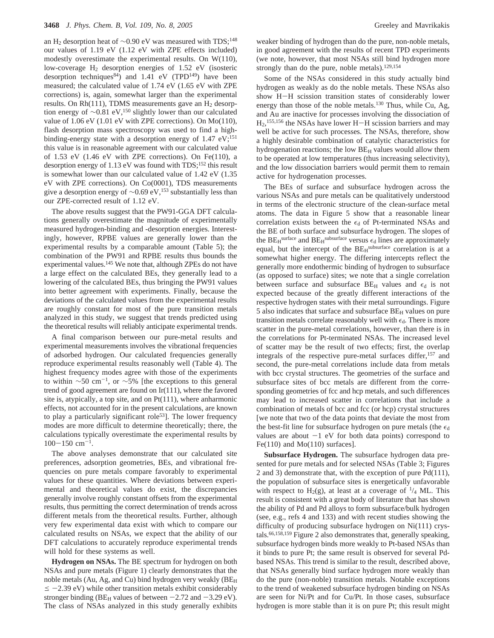an H<sub>2</sub> desorption heat of ∼0.90 eV was measured with TDS;<sup>148</sup> our values of 1.19 eV (1.12 eV with ZPE effects included) modestly overestimate the experimental results. On W(110), low-coverage  $H_2$  desorption energies of 1.52 eV (isosteric desorption techniques<sup>84</sup>) and 1.41 eV (TPD<sup>149</sup>) have been measured; the calculated value of 1.74 eV (1.65 eV with ZPE corrections) is, again, somewhat larger than the experimental results. On Rh $(111)$ , TDMS measurements gave an  $H<sub>2</sub>$  desorption energy of  $\sim$ 0.81 eV,<sup>150</sup> slightly lower than our calculated value of 1.06 eV (1.01 eV with ZPE corrections). On Mo(110), flash desorption mass spectroscopy was used to find a highbinding-energy state with a desorption energy of  $1.47 \text{ eV};^{151}$ this value is in reasonable agreement with our calculated value of 1.53 eV (1.46 eV with ZPE corrections). On Fe(110), a desorption energy of  $1.13$  eV was found with TDS;<sup>152</sup> this result is somewhat lower than our calculated value of 1.42 eV (1.35 eV with ZPE corrections). On Co(0001), TDS measurements give a desorption energy of  $\sim$ 0.69 eV,<sup>153</sup> substantially less than our ZPE-corrected result of 1.12 eV.

The above results suggest that the PW91-GGA DFT calculations generally overestimate the magnitude of experimentally measured hydrogen-binding and -desorption energies. Interestingly, however, RPBE values are generally lower than the experimental results by a comparable amount (Table 5); the combination of the PW91 and RPBE results thus bounds the experimental values.<sup>145</sup> We note that, although ZPEs do not have a large effect on the calculated BEs, they generally lead to a lowering of the calculated BEs, thus bringing the PW91 values into better agreement with experiments. Finally, because the deviations of the calculated values from the experimental results are roughly constant for most of the pure transition metals analyzed in this study, we suggest that trends predicted using the theoretical results will reliably anticipate experimental trends.

A final comparison between our pure-metal results and experimental measurements involves the vibrational frequencies of adsorbed hydrogen. Our calculated frequencies generally reproduce experimental results reasonably well (Table 4). The highest frequency modes agree with those of the experiments to within  $\sim$ 50 cm<sup>-1</sup>, or  $\sim$ 5% [the exceptions to this general trend of good agreement are found on  $Ir(111)$ , where the favored site is, atypically, a top site, and on Pt(111), where anharmonic effects, not accounted for in the present calculations, are known to play a particularly significant role<sup>53</sup>]. The lower frequency modes are more difficult to determine theoretically; there, the calculations typically overestimate the experimental results by  $100-150$  cm<sup>-1</sup>.

The above analyses demonstrate that our calculated site preferences, adsorption geometries, BEs, and vibrational frequencies on pure metals compare favorably to experimental values for these quantities. Where deviations between experimental and theoretical values do exist, the discrepancies generally involve roughly constant offsets from the experimental results, thus permitting the correct determination of trends across different metals from the theoretical results. Further, although very few experimental data exist with which to compare our calculated results on NSAs, we expect that the ability of our DFT calculations to accurately reproduce experimental trends will hold for these systems as well.

**Hydrogen on NSAs.** The BE spectrum for hydrogen on both NSAs and pure metals (Figure 1) clearly demonstrates that the noble metals (Au, Ag, and Cu) bind hydrogen very weakly (BEH  $\le$  -2.39 eV) while other transition metals exhibit considerably stronger binding (BE<sub>H</sub> values of between  $-2.72$  and  $-3.29$  eV). The class of NSAs analyzed in this study generally exhibits

weaker binding of hydrogen than do the pure, non-noble metals, in good agreement with the results of recent TPD experiments (we note, however, that most NSAs still bind hydrogen more strongly than do the pure, noble metals). $129,154$ 

Some of the NSAs considered in this study actually bind hydrogen as weakly as do the noble metals. These NSAs also show H-H scission transition states of considerably lower energy than those of the noble metals.<sup>130</sup> Thus, while Cu, Ag, and Au are inactive for processes involving the dissociation of  $H_2$ ,<sup>155,156</sup> the NSAs have lower H-H scission barriers and may<br>well be active for such processes. The NSAs, therefore, show well be active for such processes. The NSAs, therefore, show a highly desirable combination of catalytic characteristics for hydrogenation reactions; the low  $BE_H$  values would allow them to be operated at low temperatures (thus increasing selectivity), and the low dissociation barriers would permit them to remain active for hydrogenation processes.

The BEs of surface and subsurface hydrogen across the various NSAs and pure metals can be qualitatively understood in terms of the electronic structure of the clean-surface metal atoms. The data in Figure 5 show that a reasonable linear correlation exists between the  $\epsilon_d$  of Pt-terminated NSAs and the BE of both surface and subsurface hydrogen. The slopes of the  $BE_{H}$ <sup>surface</sup> and  $BE_{H}$ <sup>subsurface</sup> versus  $\epsilon_{d}$  lines are approximately equal, but the intercept of the BEHsubsurface correlation is at a somewhat higher energy. The differing intercepts reflect the generally more endothermic binding of hydrogen to subsurface (as opposed to surface) sites; we note that a single correlation between surface and subsurface  $BE_H$  values and  $\epsilon_d$  is not expected because of the greatly different interactions of the respective hydrogen states with their metal surroundings. Figure 5 also indicates that surface and subsurface BE<sub>H</sub> values on pure transition metals correlate reasonably well with  $\epsilon_d$ . There is more scatter in the pure-metal correlations, however, than there is in the correlations for Pt-terminated NSAs. The increased level of scatter may be the result of two effects; first, the overlap integrals of the respective pure-metal surfaces differ,<sup>157</sup> and second, the pure-metal correlations include data from metals with bcc crystal structures. The geometries of the surface and subsurface sites of bcc metals are different from the corresponding geometries of fcc and hcp metals, and such differences may lead to increased scatter in correlations that include a combination of metals of bcc and fcc (or hcp) crystal structures [we note that two of the data points that deviate the most from the best-fit line for subsurface hydrogen on pure metals (the  $\epsilon_d$ ) values are about  $-1$  eV for both data points) correspond to Fe(110) and Mo(110) surfaces.

**Subsurface Hydrogen.** The subsurface hydrogen data presented for pure metals and for selected NSAs (Table 3; Figures 2 and 3) demonstrate that, with the exception of pure Pd(111), the population of subsurface sites is energetically unfavorable with respect to  $H_2(g)$ , at least at a coverage of  $\frac{1}{4}$  ML. This result is consistent with a great body of literature that has shown the ability of Pd and Pd alloys to form subsurface/bulk hydrogen (see, e.g., refs 4 and 133) and with recent studies showing the difficulty of producing subsurface hydrogen on Ni(111) crystals.66,158,159 Figure 2 also demonstrates that, generally speaking, subsurface hydrogen binds more weakly to Pt-based NSAs than it binds to pure Pt; the same result is observed for several Pdbased NSAs. This trend is similar to the result, described above, that NSAs generally bind surface hydrogen more weakly than do the pure (non-noble) transition metals. Notable exceptions to the trend of weakened subsurface hydrogen binding on NSAs are seen for Ni/Pt and for Cu/Pt. In those cases, subsurface hydrogen is more stable than it is on pure Pt; this result might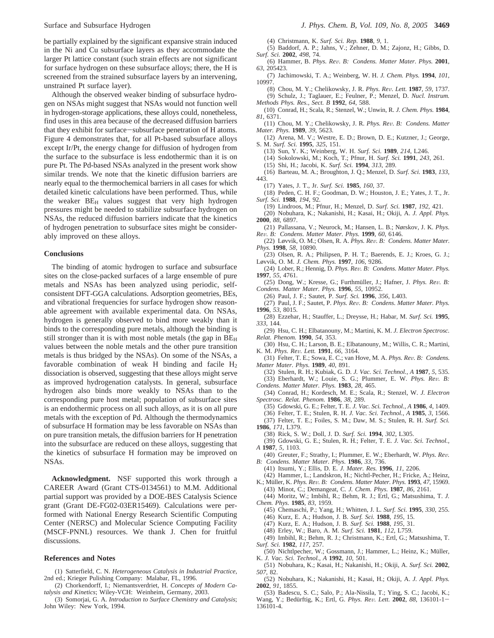be partially explained by the significant expansive strain induced in the Ni and Cu subsurface layers as they accommodate the larger Pt lattice constant (such strain effects are not significant for surface hydrogen on these subsurface alloys; there, the H is screened from the strained subsurface layers by an intervening, unstrained Pt surface layer).

Although the observed weaker binding of subsurface hydrogen on NSAs might suggest that NSAs would not function well in hydrogen-storage applications, these alloys could, nonetheless, find uses in this area because of the decreased diffusion barriers that they exhibit for surface-subsurface penetration of H atoms. Figure 4 demonstrates that, for all Pt-based subsurface alloys except Ir/Pt, the energy change for diffusion of hydrogen from the surface to the subsurface is less endothermic than it is on pure Pt. The Pd-based NSAs analyzed in the present work show similar trends. We note that the kinetic diffusion barriers are nearly equal to the thermochemical barriers in all cases for which detailed kinetic calculations have been performed. Thus, while the weaker  $BE_H$  values suggest that very high hydrogen pressures might be needed to stabilize subsurface hydrogen on NSAs, the reduced diffusion barriers indicate that the kinetics of hydrogen penetration to subsurface sites might be considerably improved on these alloys.

## **Conclusions**

The binding of atomic hydrogen to surface and subsurface sites on the close-packed surfaces of a large ensemble of pure metals and NSAs has been analyzed using periodic, selfconsistent DFT-GGA calculations. Adsorption geometries, BEs, and vibrational frequencies for surface hydrogen show reasonable agreement with available experimental data. On NSAs, hydrogen is generally observed to bind more weakly than it binds to the corresponding pure metals, although the binding is still stronger than it is with most noble metals (the gap in  $BE_H$ ) values between the noble metals and the other pure transition metals is thus bridged by the NSAs). On some of the NSAs, a favorable combination of weak H binding and facile  $H_2$ dissociation is observed, suggesting that these alloys might serve as improved hydrogenation catalysts. In general, subsurface hydrogen also binds more weakly to NSAs than to the corresponding pure host metal; population of subsurface sites is an endothermic process on all such alloys, as it is on all pure metals with the exception of Pd. Although the thermodynamics of subsurface H formation may be less favorable on NSAs than on pure transition metals, the diffusion barriers for H penetration into the subsurface are reduced on these alloys, suggesting that the kinetics of subsurface H formation may be improved on NSAs.

**Acknowledgment.** NSF supported this work through a CAREER Award (Grant CTS-0134561) to M.M. Additional partial support was provided by a DOE-BES Catalysis Science grant (Grant DE-FG02-03ER15469). Calculations were performed with National Energy Research Scientific Computing Center (NERSC) and Molecular Science Computing Facility (MSCF-PNNL) resources. We thank J. Chen for fruitful discussions.

#### **References and Notes**

- (1) Satterfield, C. N. *Heterogeneous Catalysis in Industrial Practice*, 2nd ed.; Krieger Pulishing Company: Malabar, FL, 1996.
- (2) Chorkendorff, I.; Niemantsverdriet, H. *Concepts of Modern Catalysis and Kinetics*; Wiley-VCH: Weinheim, Germany, 2003.
- (3) Somorjai, G. A. *Introduction to Surface Chemistry and Catalysis*; John Wiley: New York, 1994.

(4) Christmann, K. *Surf. Sci. Rep.* **1988**, *9*, 1.

- (5) Baddorf, A. P.; Jahns, V.; Zehner, D. M.; Zajonz, H.; Gibbs, D. *Surf. Sci.* **2002**, *498*, 74.
- (6) Hammer, B. *Phys. Re*V*. B: Condens. Matter Mater. Phys.* **<sup>2001</sup>**, *63*, 205423.
- (7) Jachimowski, T. A.; Weinberg, W. H. *J. Chem. Phys.* **1994**, *101*, 10997.
- (8) Chou, M. Y.; Chelikowsky, J. R. *Phys. Re*V*. Lett.* **<sup>1987</sup>**, *<sup>59</sup>*, 1737. (9) Schulz, J.; Taglauer, E.; Feulner, P.; Menzel, D. *Nucl. Instrum.*
- *Methods Phys. Res., Sect. B* **1992**, *64*, 588. (10) Conrad, H.; Scala, R.; Stenzel, W.; Unwin, R. *J. Chem. Phys.* **1984**,

*81*, 6371.

- (11) Chou, M. Y.; Chelikowsky, J. R. *Phys. Re*V*. B: Condens. Matter Mater. Phys.* **1989**, *39*, 5623.
- (12) Arena, M. V.; Westre, E. D.; Brown, D. E.; Kutzner, J.; George, S. M. *Surf. Sci.* **1995**, *325*, 151.
	- (13) Sun, Y. K.; Weinberg, W. H. *Surf. Sci.* **1989**, *214*, L246.
	- (14) Sokolowski, M.; Koch, T.; Pfnur, H. *Surf. Sci.* **1991**, *243*, 261.
	- (15) Shi, H.; Jacobi, K. *Surf. Sci.* **1994**, *313*, 289.
- (16) Barteau, M. A.; Broughton, J. Q.; Menzel, D. *Surf. Sci.* **1983**, *133*, 443.
	- (17) Yates, J. T., Jr. *Surf. Sci.* **1985**, *160*, 37.
- (18) Peden, C. H. F.; Goodman, D. W.; Houston, J. E.; Yates, J. T., Jr. *Surf. Sci.* **1988**, *194*, 92.
	- (19) Lindroos, M.; Pfnur, H.; Menzel, D. *Surf. Sci.* **1987**, *192*, 421.
- (20) Nobuhara, K.; Nakanishi, H.; Kasai, H.; Okiji, A. *J. Appl. Phys.* **2000**, *88*, 6897.
- (21) Pallassana, V.; Neurock, M.; Hansen, L. B.; Nørskov, J. K. *Phys. Re*V*. B: Condens. Matter Mater. Phys.* **<sup>1999</sup>**, *<sup>60</sup>*, 6146.
- (22) Løvvik, O. M.; Olsen, R. A. *Phys. Re*V*. B: Condens. Matter Mater. Phys.* **1998**, *58*, 10890.
- (23) Olsen, R. A.; Philipsen, P. H. T.; Baerends, E. J.; Kroes, G. J.; Løvvik, O. M. *J. Chem. Phys.* **1997**, *106*, 9286.
- (24) Lober, R.; Hennig, D. *Phys. Re*V*. B: Condens. Matter Mater. Phys.* **1997**, *55*, 4761.
- (25) Dong, W.; Kresse, G.; Furthmüller, J.; Hafner, J. *Phys. Rev. B: Condens. Matter Mater. Phys.* **1996**, *55*, 10952.

(26) Paul, J. F.; Sautet, P. *Surf. Sci.* **1996**, *356*, L403.

- (27) Paul, J. F.; Sautet, P. *Phys. Re*V*. B: Condens. Matter Mater. Phys.* **1996**, *53*, 8015.
- (28) Ezzehar, H.; Stauffer, L.; Dreysse, H.; Habar, M. *Surf. Sci.* **1995**, *333*, 144.
- (29) Hsu, C. H.; Elbatanouny, M.; Martini, K. M. *J. Electron Spectrosc. Relat. Phenom.* **1990**, *54*, 353.
- (30) Hsu, C. H.; Larson, B. E.; Elbatanouny, M.; Willis, C. R.; Martini, K. M. *Phys. Re*V*. Lett.* **<sup>1991</sup>**, *<sup>66</sup>*, 3164.
- (31) Felter, T. E.; Sowa, E. C.; van Hove, M. A. *Phys. Re*V*. B: Condens. Matter Mater. Phys.* **1989**, *40*, 891.
- (32) Stulen, R. H.; Kubiak, G. D. *J. Vac. Sci. Technol., A* **1987**, *5*, 535. (33) Eberhardt, W.; Louie, S. G.; Plummer, E. W. *Phys. Re*V*. B: Condens. Matter Mater. Phys.* **1983**, *28*, 465.
- (34) Conrad, H.; Kordesch, M. E.; Scala, R.; Stenzel, W. *J. Electron Spectrosc. Relat. Phenom.* **1986**, *38*, 289.
	- (35) Gdowski, G. E.; Felter, T. E. *J. Vac. Sci. Technol., A* **1986**, *4*, 1409.
	- (36) Felter, T. E.; Stulen, R. H. *J. Vac. Sci. Technol., A* **1985**, *3*, 1566.
	- (37) Felter, T. E.; Foiles, S. M.; Daw, M. S.; Stulen, R. H. *Surf. Sci.*

- (38) Rick, S. W.; Doll, J. D. *Surf. Sci.* **1994**, *302*, L305.
- (39) Gdowski, G. E.; Stulen, R. H.; Felter, T. E. *J. Vac. Sci. Technol., A* **1987**, *5*, 1103.
- (40) Greuter, F.; Strathy, I.; Plummer, E. W.; Eberhardt, W. *Phys. Re*V*. B: Condens. Matter Mater. Phys.* **1986**, *33*, 736.
	- (41) Itsumi, Y.; Ellis, D. E. *J. Mater. Res.* **1996**, *11*, 2206.
- (42) Hammer, L.; Landskron, H.; Nichtl-Pecher, H.; Fricke, A.; Heinz, K.; Mu¨ller, K. *Phys. Re*V*. B: Condens. Matter Mater. Phys.* **<sup>1993</sup>**, *<sup>47</sup>*, 15969.
- (43) Minot, C.; Demangeat, C. *J. Chem. Phys.* **1987**, *86*, 2161. (44) Moritz, W.; Imbihl, R.; Behm, R. J.; Ertl, G.; Matsushima, T. *J.*
- *Chem. Phys.* **1985**, *83*, 1959.
	- (45) Chemaschi, P.; Yang, H.; Whitten, J. L. *Surf. Sci.* **1995**, *330*, 255.
	- (46) Kurz, E. A.; Hudson, J. B. *Surf. Sci.* **1988**, *195*, 15.
	- (47) Kurz, E. A.; Hudson, J. B. *Surf. Sci.* **1988**, *195*, 31.
	- (48) Erley, W.; Baro, A. M. *Surf. Sci.* **1981**, *112*, L759.
- (49) Imbihl, R.; Behm, R. J.; Christmann, K.; Ertl, G.; Matsushima, T. *Surf. Sci.* **1982**, *117*, 257.
- (50) Nichtlpecher, W.; Gossmann, J.; Hammer, L.; Heinz, K.; Müller, K. *J. Vac. Sci. Technol., A* **1992**, *10*, 501.
- (51) Nobuhara, K.; Kasai, H.; Nakanishi, H.; Okiji, A. *Surf. Sci.* **2002**, *507*, 82.
- (52) Nobuhara, K.; Nakanishi, H.; Kasai, H.; Okiji, A. *J. Appl. Phys.* **2002**, *91*, 1855.
- (53) Badescu, S. C.; Salo, P.; Ala-Nissila, T.; Ying, S. C.; Jacobi, K.; Wang, Y.; Bedürftig, K.; Ertl, G. Phys. Rev. Lett. 2002, 88, 136101-1-136101-4.

**<sup>1986</sup>**, *171*, L379.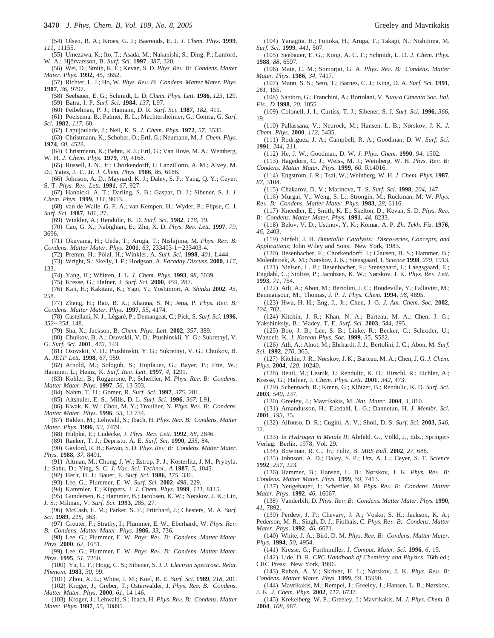(54) Olsen, R. A.; Kroes, G. J.; Baerends, E. J. *J. Chem. Phys.* **1999**, *111*, 11155.

- (55) Umezawa, K.; Ito, T.; Asada, M.; Nakanishi, S.; Ding, P.; Lanford, W. A.; Hjörvarsson, B. *Surf. Sci.* **1997**, 387, 320.
- (56) Wei, D.; Smith, K. E.; Kevan, S. D. *Phys. Re*V*. B: Condens. Matter Mater. Phys.* **1992**, *45*, 3652.
- (57) Richter, L. J.; Ho, W. *Phys. Re*V*. B: Condens. Matter Mater. Phys.* **1987**, *36*, 9797.
- (58) Seebauer, E. G.; Schmidt, L. D. *Chem. Phys. Lett.* **1986**, *123*, 129. (59) Batra, I. P. *Surf. Sci.* **1984**, *137*, L97.
- (60) Feibelman, P. J.; Hamann, D. R. *Surf. Sci.* **1987**, *182*, 411.
- (61) Poelsema, B.; Palmer, R. L.; Mechtersheimer, G.; Comsa, G. *Surf. Sci.* **1982**, *117*, 60.
- (62) Lapujoulade, J.; Neil, K. S. *J. Chem. Phys.* **1972**, *57*, 3535.
- (63) Christmann, K.; Schober, O.; Ertl, G.; Neumann, M. *J. Chem. Phys.* **1974**, *60*, 4528.
- (64) Christmann, K.; Behm, R. J.; Ertl, G.; Van Hove, M. A.; Weinberg, W. H. *J. Chem. Phys.* **1979**, *70*, 4168.
- (65) Russell, J. N., Jr.; Chorkendorff, I.; Lanzillotto, A. M.; Alvey, M. D.; Yates, J. T., Jr. *J. Chem. Phys.* **1986**, *85*, 6186.
- (66) Johnson, A. D.; Maynard, K. J.; Daley, S. P.; Yang, Q. Y.; Ceyer, S. T. *Phys. Re*V*. Lett.* **<sup>1991</sup>**, *<sup>67</sup>*, 927.
- (67) Hanbicki, A. T.; Darling, S. B.; Gaspar, D. J.; Sibener, S. J. *J. Chem. Phys.* **1999**, *111*, 9053.
- (68) van de Walle, G. F. A.; van Kempen, H.; Wyder, P.; Flipse, C. J. *Surf. Sci.* **1987**, *181*, 27.
- (69) Winkler, A.; Rendulic, K. D. *Surf. Sci.* **1982**, *118*, 19.
- (70) Cao, G. X.; Nabighian, E.; Zhu, X. D. *Phys. Re*V*. Lett.* **<sup>1997</sup>**, *<sup>79</sup>*,
- 3696.<br>(71) Okuyama, H.; Ueda, T.; Aruga, T.; Nishijima, M. Phys. Rev. B: (71) Okuyama, H.; Ueda, T.; Aruga, T.; Nishijima, M. *Phys. Re*V*. B:*
- *Condens. Matter Mater. Phys.* **<sup>2001</sup>**, *<sup>63</sup>*, 233403-1-233403-4.
	- (72) Premm, H.; Po¨lzl, H.; Winkler, A. *Surf. Sci.* **1998**, *401*, L444.
- (73) Wright, S.; Skelly, J. F.; Hodgson, A. *Faraday Discuss.* **2000**, *117*, 133.
- (74) Yang, H.; Whitten, J. L. *J. Chem. Phys.* **1993**, *98*, 5039.
- (75) Kresse, G.; Hafner, J. *Surf. Sci.* **2000**, *459*, 287.
- (76) Kaji, H.; Kakitani, K.; Yagi, Y.; Yoshimori, A. *Shinku* **2002**, *45*, 258.
- (77) Zheng, H.; Rao, B. K.; Khanna, S. N.; Jena, P. *Phys. Re*V*. B: Condens. Matter Mater. Phys.* **1997**, *55*, 4174.
- (78) Castellani, N. J.; Le´gare´, P.; Demangeat, C.; Pick, S. *Surf. Sci.* **1996**, *<sup>352</sup>*-*354*, 148.
	- (79) Sha, X.; Jackson, B. *Chem. Phys. Lett.* **2002**, *357*, 389.
- (80) Chuikov, B. A.; Osovskii, V. D.; Ptushinskii, Y. G.; Sukretnyi, V. G. *Surf. Sci.* **2001**, *473*, 143.
- (81) Osovskii, V. D.; Ptushinskii, Y. G.; Sukretnyi, V. G.; Chuikov, B. A. *JETP Lett.* **1998**, *67*, 959.
- (82) Arnold, M.; Sologub, S.; Hupfauer, G.; Bayer, P.; Frie, W.; Hammer, L.; Heinz, K. *Surf. Re*V*. Lett.* **<sup>1997</sup>**, *<sup>4</sup>*, 1291.
- (83) Kohler, B.; Ruggerone, P.; Scheffler, M. *Phys. Re*V*. B: Condens. Matter Mater. Phys.* **1997**, *56*, 13 503.
- (84) Nahm, T. U.; Gomer, R. *Surf. Sci.* **1997**, *375*, 281.
- (85) Altshuler, E. S.; Mills, D. L. *Surf. Sci.* **1996**, *367*, L91.
- (86) Kwak, K. W.; Chou, M. Y.; Troullier, N. *Phys. Re*V*. B: Condens.*
- *Matter Mater. Phys.* **1996**, *53*, 13 734.
- (87) Balden, M.; Lehwald, S.; Ibach, H. *Phys. Re*V*. B: Condens. Matter Mater. Phys.* **1996**, *53*, 7479.
	- (88) Hulpke, E.; Ludecke, J. *Phys. Re*V*. Lett.* **<sup>1992</sup>**, *<sup>68</sup>*, 2846. (89) Raeker, T. J.; Depristo, A. E. *Surf. Sci.* **1990**, *235*, 84.
	-
- (90) Gaylord, R. H.; Kevan, S. D. *Phys. Re*V*. B: Condens. Matter Mater. Phys.* **1988**, *37*, 8491.
- (91) Altman, M.; Chung, J. W.; Estrup, P. J.; Kosterlitz, J. M.; Prybyla,
- J.; Sahu, D.; Ying, S. C. *J. Vac. Sci. Technol., A* **1987**, *5*, 1045.
	- (92) Herlt, H. J.; Bauer, E. *Surf. Sci.* **1986**, *175*, 336.
	- (93) Lee, G.; Plummer, E. W. *Surf. Sci.* **2002**, *498*, 229.
	- (94) Kammler, T.; Küppers, J. *J. Chem. Phys.* **1999**, *111*, 8115.
- (95) Gundersen, K.; Hammer, B.; Jacobsen, K. W.; Nørskov, J. K.; Lin, J. S.; Milman, V. *Surf. Sci.* **1993**, *285*, 27.
- (96) McCash, E. M.; Parker, S. F.; Pritchard, J.; Chesters, M. A. *Surf. Sci.* **1989**, *215*, 363.
- (97) Greuter, F.; Strathy, I.; Plummer, E. W.; Eberhardt, W. *Phys. Re*V*. B: Condens. Matter Mater. Phys.* **1986**, *33*, 736.
- (98) Lee, G.; Plummer, E. W. *Phys. Re*V*. B: Condens. Matter Mater. Phys.* **2000**, *62*, 1651.
- (99) Lee, G.; Plummer, E. W. *Phys. Re*V*. B: Condens. Matter Mater. Phys.* **1995**, *51*, 7250.
- (100) Yu, C. F.; Hogg, C. S.; Sibener, S. J. *J. Electron Spectrosc. Relat. Phenom.* **1983**, *30*, 99.
- (101) Zhou, X. L.; White, J. M.; Koel, B. E. *Surf. Sci.* **1989**, *218*, 201. (102) Kroger, J.; Greber, T.; Osterwalder, J. *Phys. Re*V*. B: Condens.*
- *Matter Mater. Phys.* **2000**, *61*, 14 146.
- (103) Kroger, J.; Lehwald, S.; Ibach, H. *Phys. Re*V*. B: Condens. Matter Mater. Phys.* **1997**, *55*, 10895.
- (104) Yanagita, H.; Fujioka, H.; Aruga, T.; Takagi, N.; Nishijima, M. *Surf. Sci.* **1999**, *441*, 507.
- (105) Seebauer, E. G.; Kong, A. C. F.; Schmidt, L. D. *J. Chem. Phys.* **1988**, *88*, 6597.
- (106) Mate, C. M.; Somorjai, G. A. *Phys. Re*V*. B: Condens. Matter Mater. Phys.* **1986**, *34*, 7417.
- (107) Mann, S. S.; Seto, T.; Barnes, C. J.; King, D. A. *Surf. Sci.* **1991**, *261*, 155.
- (108) Santoro, G.; Franchini, A.; Bortolani, V. *Nuo*V*o Cimento Soc. Ital. Fis., D* **1998**, *20*, 1055.
- (109) Colonell, J. I.; Curtiss, T. J.; Sibener, S. J. *Surf. Sci.* **1996**, *366*, 19.
- (110) Pallassana, V.; Neurock, M.; Hansen, L. B.; Nørskov, J. K. *J. Chem. Phys.* **2000**, *112*, 5435.
- (111) Rodriguez, J. A.; Campbell, R. A.; Goodman, D. W. *Surf. Sci.* **1991**, *244*, 211.
	- (112) He, J. W.; Goodman, D. W. *J. Phys. Chem.* **1990**, *94*, 1502.
- (113) Hagedorn, C. J.; Weiss, M. J.; Weinberg, W. H. *Phys. Re*V*. B: Condens. Matter Mater. Phys.* **1999**, *60*, R14016.
- (114) Engstrom, J. R.; Tsai, W.; Weinberg, W. H. *J. Chem. Phys.* **1987**, *87*, 3104.
- (115) Chakarov, D. V.; Marinova, T. S. *Surf. Sci.* **1998**, *204*, 147.
- (116) Murgai, V.; Weng, S. L.; Strongin, M.; Ruckman, M. W. *Phys.*
- *Re*V*. B: Condens. Matter Mater. Phys.* **<sup>1983</sup>**, *<sup>28</sup>*, 6116. (117) Kneedler, E.; Smith, K. E.; Skelton, D.; Kevan, S. D. *Phys. Re*V*.*
- *B: Condens. Matter Mater. Phys.* **1991**, *44*, 8233.
- (118) Belov, V. D.; Ustinov, Y. K.; Komar, A. P. *Zh. Tekh. Fiz.* **1976**, *46*, 2403.
- (119) Sinfelt, J. H. *Bimetallic Catalysts: Disco*V*eries, Concepts, and Applications*; John Wiley and Sons: New York, 1983.
- (120) Besenbacher, F.; Chorkendorff, I.; Clausen, B. S.; Hammer, B.; Molenbroek, A. M.; Nørskov, J. K.; Stensgaard, I. *Science* **1998**, *279*, 1913.
- (121) Nielsen, L. P.; Besenbacher, F.; Stensgaard, I.; Laegsgaard, E.; Engdahl, C.; Stoltze, P.; Jacobsen, K. W.; Nørskov, J. K. Phys. Rev. Lett.
- **1993**, *71*, 754.
- (122) Atli, A.; Abon, M.; Bertolini, J. C.; Boudeville, Y.; Fallavier, M.; Benmansour, M.; Thomas, J. P. *J. Phys. Chem.* **1994**, *98*, 4895.
- (123) Hwu, H. H.; Eng, J., Jr.; Chen, J. G. *J. Am. Chem. Soc.* **2002**, *124*, 702.
- (124) Kitchin, J. R.; Khan, N. A.; Barteau, M. A.; Chen, J. G.; Yakshinksiy, B.; Madey, T. E. *Surf. Sci.* **2003**, *544*, 295.
- (125) Boo, J. B.; Lee, S. B.; Linke, R.; Becker, C.; Schroder, U.; Wandelt, K. *J. Korean Phys. Soc.* **1999**, *35*, S582.
- (126) Atli, A.; Alnot, M.; Ehrhardt, J. J.; Bertolini, J. C.; Abon, M. *Surf. Sci.* **1992**, *270*, 365.
- (127) Kitchin, J. R.; Nørskov, J. K.; Barteau, M. A.; Chen, J. G. *J. Chem. Phys.* **2004**, *120*, 10240.
- (128) Beutl, M.; Lesnik, J.; Rendulic, K. D.; Hirschl, R.; Eichler, A.; Kresse, G.; Hafner, J. *Chem. Phys. Lett.* **2001**, *342*, 473.
- (129) Schennach, R.; Krenn, G.; Klötzer, B.; Rendulic, K. D. *Surf. Sci.* **2003**, *540*, 237.
- (130) Greeley, J.; Mavrikakis, M. *Nat. Mater.* **2004**, *3*, 810.
- (131) Amandusson, H.; Ekedahl, L. G.; Dannetun, H. *J. Membr. Sci.* **2001**, *193*, 35.
- (132) Alfonso, D. R.; Cugini, A. V.; Sholl, D. S. *Surf. Sci.* **2003**, *546*, 12.

(133) In *Hydrogen in Metals II*; Alefeld, G., Völkl, J., Eds.; Springer-Verlag: Berlin, 1978; Vol. 29.

- (134) Bowman, R. C., Jr.; Fultz, B. *MRS Bull.* **2002**, *27*, 688.
- (135) Johnson, A. D.; Daley, S. P.; Utz, A. L.; Ceyer, S. T. *Science*
- **1992**, *257*, 223. (136) Hammer, B.; Hansen, L. B.; Nørskov, J. K. *Phys. Re*V*. B:*
- *Condens. Matter Mater. Phys.* **1999**, *59*, 7413. (137) Neugebauer, J.; Scheffler, M. *Phys. Re*V*. B: Condens. Matter*
- *Mater. Phys.* **1992**, *46*, 16067.
- (138) Vanderbilt, D. *Phys. Re*V*. B: Condens. Matter Mater. Phys.* **<sup>1990</sup>**, *41*, 7892.
- (139) Perdew, J. P.; Chevary, J. A.; Vosko, S. H.; Jackson, K. A.;
- Pederson, M. R.; Singh, D. J.; Fiolhais, C. *Phys. Re*V*. B: Condens. Matter Mater. Phys.* **1992**, *46*, 6671.
- (140) White, J. A.; Bird, D. M. *Phys. Re*V*. B: Condens. Matter Mater. Phys.* **1994**, *50*, 4954.
	- (141) Kresse, G.; Furthmuller, J. *Comput. Mater. Sci.* **1996**, *6*, 15.
- (142) Lide, D. R. *CRC Handbook of Chemistry and Physics*, 76th ed.; CRC Press: New York, 1996.
- (143) Ruban, A. V.; Skriver, H. L.; Nørskov, J. K. *Phys. Re*V*. B: Condens. Matter Mater. Phys.* **1999**, *59*, 15990.
- (144) Mavrikakis, M.; Rempel, J.; Greeley, J.; Hansen, L. B.; Nørskov, J. K. *J. Chem. Phys.* **2002**, *117*, 6737.
- (145) Krekelberg, W. P.; Greeley, J.; Mavrikakis, M. *J. Phys. Chem. B* **2004**, *108*, 987.